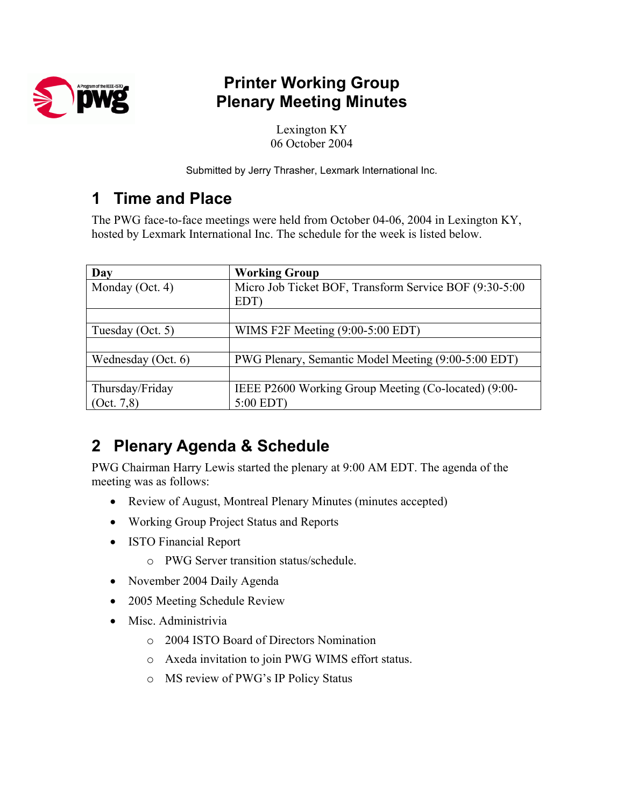

# **Printer Working Group Plenary Meeting Minutes**

Lexington KY 06 October 2004

Submitted by Jerry Thrasher, Lexmark International Inc.

# **1 Time and Place**

The PWG face-to-face meetings were held from October 04-06, 2004 in Lexington KY, hosted by Lexmark International Inc. The schedule for the week is listed below.

| Day                | <b>Working Group</b>                                           |
|--------------------|----------------------------------------------------------------|
| Monday (Oct. 4)    | Micro Job Ticket BOF, Transform Service BOF (9:30-5:00<br>EDT) |
|                    |                                                                |
| Tuesday (Oct. 5)   | WIMS F2F Meeting $(9:00-5:00$ EDT)                             |
|                    |                                                                |
| Wednesday (Oct. 6) | PWG Plenary, Semantic Model Meeting (9:00-5:00 EDT)            |
|                    |                                                                |
| Thursday/Friday    | IEEE P2600 Working Group Meeting (Co-located) (9:00-           |
| (Oct. 7, 8)        | 5:00 EDT)                                                      |

# **2 Plenary Agenda & Schedule**

PWG Chairman Harry Lewis started the plenary at 9:00 AM EDT. The agenda of the meeting was as follows:

- Review of August, Montreal Plenary Minutes (minutes accepted)
- Working Group Project Status and Reports
- ISTO Financial Report
	- o PWG Server transition status/schedule.
- November 2004 Daily Agenda
- 2005 Meeting Schedule Review
- Misc. Administrivia
	- o 2004 ISTO Board of Directors Nomination
	- o Axeda invitation to join PWG WIMS effort status.
	- o MS review of PWG's IP Policy Status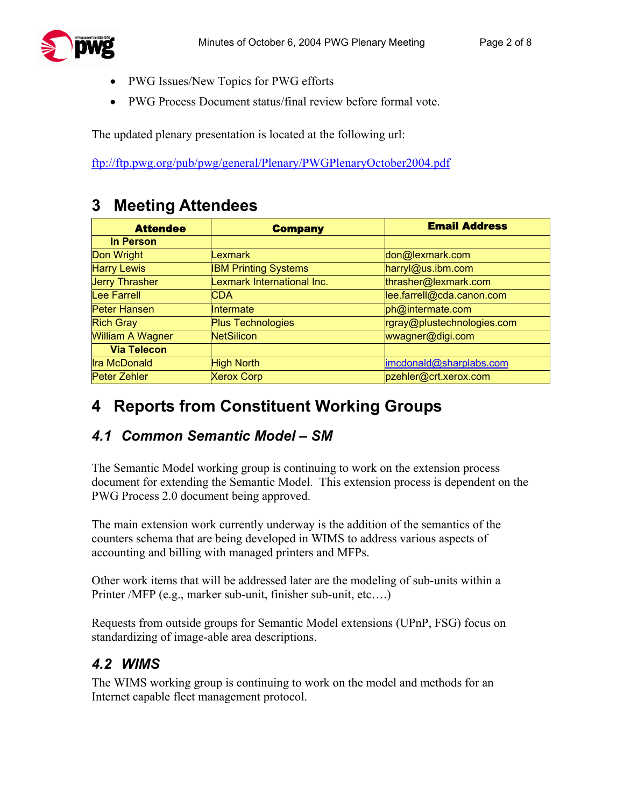

- PWG Issues/New Topics for PWG efforts
- PWG Process Document status/final review before formal vote.

The updated plenary presentation is located at the following url:

<ftp://ftp.pwg.org/pub/pwg/general/Plenary/PWGPlenaryOctober2004.pdf>

## **3 Meeting Attendees**

| <b>Attendee</b>         | <b>Company</b>              | <b>Email Address</b>       |
|-------------------------|-----------------------------|----------------------------|
| <b>In Person</b>        |                             |                            |
| Don Wright              | <b>Lexmark</b>              | don@lexmark.com            |
| <b>Harry Lewis</b>      | <b>IBM Printing Systems</b> | harryl@us.ibm.com          |
| <b>Jerry Thrasher</b>   | Lexmark International Inc.  | thrasher@lexmark.com       |
| Lee Farrell             | <b>CDA</b>                  | lee.farrell@cda.canon.com  |
| Peter Hansen            | Intermate                   | ph@intermate.com           |
| <b>Rich Gray</b>        | <b>Plus Technologies</b>    | rgray@plustechnologies.com |
| <b>William A Wagner</b> | <b>NetSilicon</b>           | wwagner@digi.com           |
| <b>Via Telecon</b>      |                             |                            |
| <b>Ira McDonald</b>     | <b>High North</b>           | imcdonald@sharplabs.com    |
| Peter Zehler            | <b>Xerox Corp</b>           | pzehler@crt.xerox.com      |

# **4 Reports from Constituent Working Groups**

### *4.1 Common Semantic Model – SM*

The Semantic Model working group is continuing to work on the extension process document for extending the Semantic Model. This extension process is dependent on the PWG Process 2.0 document being approved.

The main extension work currently underway is the addition of the semantics of the counters schema that are being developed in WIMS to address various aspects of accounting and billing with managed printers and MFPs.

Other work items that will be addressed later are the modeling of sub-units within a Printer /MFP (e.g., marker sub-unit, finisher sub-unit, etc….)

Requests from outside groups for Semantic Model extensions (UPnP, FSG) focus on standardizing of image-able area descriptions.

### *4.2 WIMS*

The WIMS working group is continuing to work on the model and methods for an Internet capable fleet management protocol.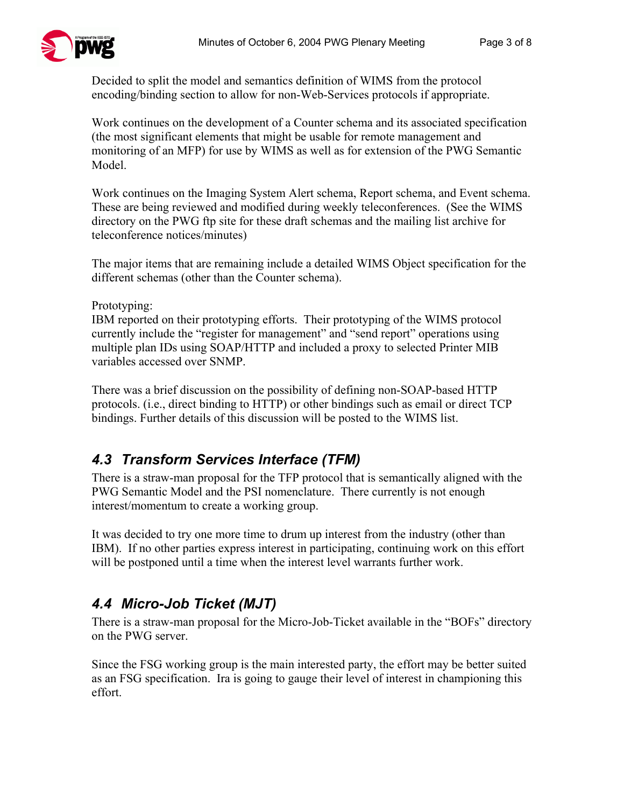

Decided to split the model and semantics definition of WIMS from the protocol encoding/binding section to allow for non-Web-Services protocols if appropriate.

Work continues on the development of a Counter schema and its associated specification (the most significant elements that might be usable for remote management and monitoring of an MFP) for use by WIMS as well as for extension of the PWG Semantic Model.

Work continues on the Imaging System Alert schema, Report schema, and Event schema. These are being reviewed and modified during weekly teleconferences. (See the WIMS directory on the PWG ftp site for these draft schemas and the mailing list archive for teleconference notices/minutes)

The major items that are remaining include a detailed WIMS Object specification for the different schemas (other than the Counter schema).

Prototyping:

IBM reported on their prototyping efforts. Their prototyping of the WIMS protocol currently include the "register for management" and "send report" operations using multiple plan IDs using SOAP/HTTP and included a proxy to selected Printer MIB variables accessed over SNMP.

There was a brief discussion on the possibility of defining non-SOAP-based HTTP protocols. (i.e., direct binding to HTTP) or other bindings such as email or direct TCP bindings. Further details of this discussion will be posted to the WIMS list.

### *4.3 Transform Services Interface (TFM)*

There is a straw-man proposal for the TFP protocol that is semantically aligned with the PWG Semantic Model and the PSI nomenclature. There currently is not enough interest/momentum to create a working group.

It was decided to try one more time to drum up interest from the industry (other than IBM). If no other parties express interest in participating, continuing work on this effort will be postponed until a time when the interest level warrants further work.

## *4.4 Micro-Job Ticket (MJT)*

There is a straw-man proposal for the Micro-Job-Ticket available in the "BOFs" directory on the PWG server.

Since the FSG working group is the main interested party, the effort may be better suited as an FSG specification. Ira is going to gauge their level of interest in championing this effort.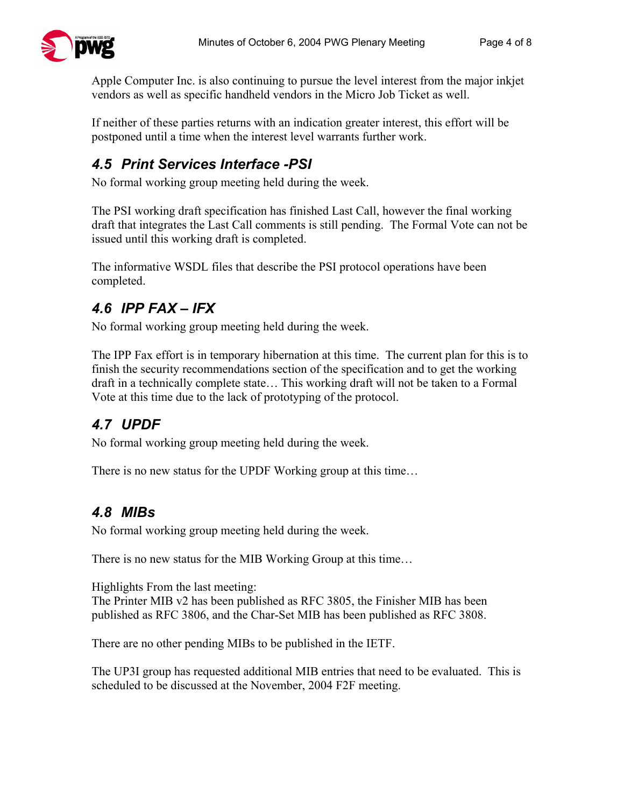Apple Computer Inc. is also continuing to pursue the level interest from the major inkjet vendors as well as specific handheld vendors in the Micro Job Ticket as well.

If neither of these parties returns with an indication greater interest, this effort will be postponed until a time when the interest level warrants further work.

## *4.5 Print Services Interface -PSI*

No formal working group meeting held during the week.

The PSI working draft specification has finished Last Call, however the final working draft that integrates the Last Call comments is still pending. The Formal Vote can not be issued until this working draft is completed.

The informative WSDL files that describe the PSI protocol operations have been completed.

## *4.6 IPP FAX – IFX*

No formal working group meeting held during the week.

The IPP Fax effort is in temporary hibernation at this time. The current plan for this is to finish the security recommendations section of the specification and to get the working draft in a technically complete state… This working draft will not be taken to a Formal Vote at this time due to the lack of prototyping of the protocol.

# *4.7 UPDF*

No formal working group meeting held during the week.

There is no new status for the UPDF Working group at this time…

## *4.8 MIBs*

No formal working group meeting held during the week.

There is no new status for the MIB Working Group at this time…

Highlights From the last meeting:

The Printer MIB v2 has been published as RFC 3805, the Finisher MIB has been published as RFC 3806, and the Char-Set MIB has been published as RFC 3808.

There are no other pending MIBs to be published in the IETF.

The UP3I group has requested additional MIB entries that need to be evaluated. This is scheduled to be discussed at the November, 2004 F2F meeting.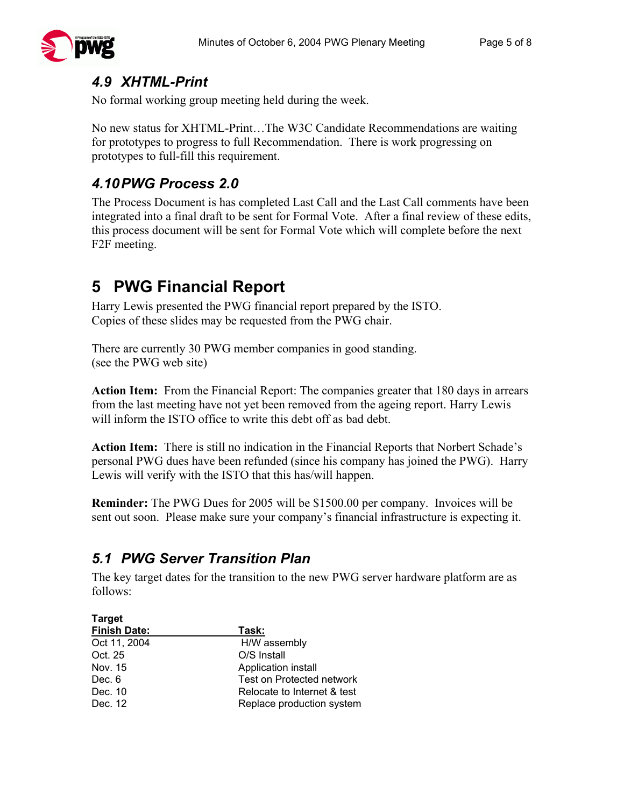### *4.9 XHTML-Print*

No formal working group meeting held during the week.

No new status for XHTML-Print…The W3C Candidate Recommendations are waiting for prototypes to progress to full Recommendation. There is work progressing on prototypes to full-fill this requirement.

### *4.10 PWG Process 2.0*

The Process Document is has completed Last Call and the Last Call comments have been integrated into a final draft to be sent for Formal Vote. After a final review of these edits, this process document will be sent for Formal Vote which will complete before the next F2F meeting.

# **5 PWG Financial Report**

Harry Lewis presented the PWG financial report prepared by the ISTO. Copies of these slides may be requested from the PWG chair.

There are currently 30 PWG member companies in good standing. (see the PWG web site)

**Action Item:** From the Financial Report: The companies greater that 180 days in arrears from the last meeting have not yet been removed from the ageing report. Harry Lewis will inform the ISTO office to write this debt off as bad debt.

**Action Item:** There is still no indication in the Financial Reports that Norbert Schade's personal PWG dues have been refunded (since his company has joined the PWG). Harry Lewis will verify with the ISTO that this has/will happen.

**Reminder:** The PWG Dues for 2005 will be \$1500.00 per company. Invoices will be sent out soon. Please make sure your company's financial infrastructure is expecting it.

### *5.1 PWG Server Transition Plan*

The key target dates for the transition to the new PWG server hardware platform are as follows:

| <b>Target</b>       |                                  |  |
|---------------------|----------------------------------|--|
| <b>Finish Date:</b> | Task:                            |  |
| Oct 11, 2004        | H/W assembly                     |  |
| Oct. 25             | O/S Install                      |  |
| Nov. 15             | Application install              |  |
| Dec. 6              | <b>Test on Protected network</b> |  |
| Dec. 10             | Relocate to Internet & test      |  |
| Dec. 12             | Replace production system        |  |
|                     |                                  |  |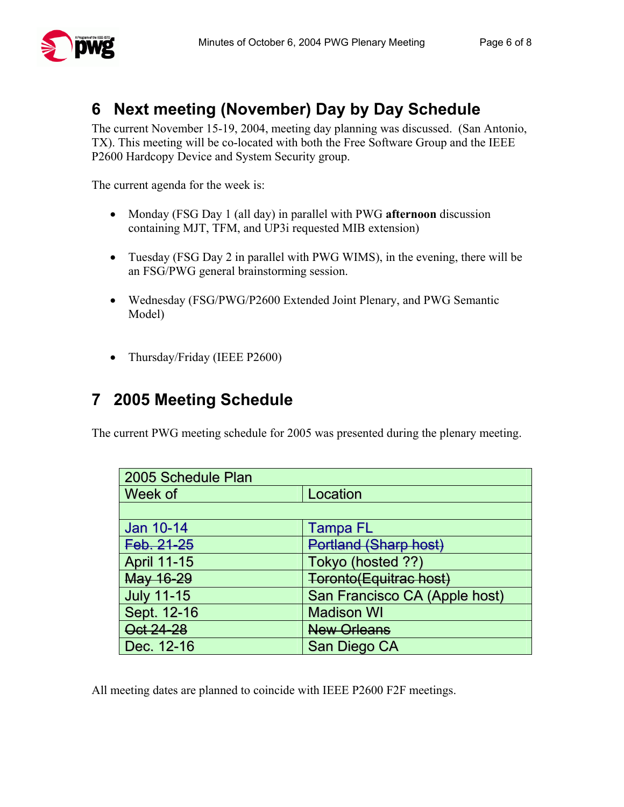

# **6 Next meeting (November) Day by Day Schedule**

The current November 15-19, 2004, meeting day planning was discussed. (San Antonio, TX). This meeting will be co-located with both the Free Software Group and the IEEE P2600 Hardcopy Device and System Security group.

The current agenda for the week is:

- Monday (FSG Day 1 (all day) in parallel with PWG **afternoon** discussion containing MJT, TFM, and UP3i requested MIB extension)
- Tuesday (FSG Day 2 in parallel with PWG WIMS), in the evening, there will be an FSG/PWG general brainstorming session.
- Wednesday (FSG/PWG/P2600 Extended Joint Plenary, and PWG Semantic Model)
- Thursday/Friday (IEEE P2600)

# **7 2005 Meeting Schedule**

The current PWG meeting schedule for 2005 was presented during the plenary meeting.

| 2005 Schedule Plan |                               |  |
|--------------------|-------------------------------|--|
| Week of            | Location                      |  |
|                    |                               |  |
| Jan 10-14          | <b>Tampa FL</b>               |  |
| Feb. 21-25         | Portland (Sharp host)         |  |
| <b>April 11-15</b> | Tokyo (hosted ??)             |  |
| May 16-29          | Toronto(Equitrac host)        |  |
| <b>July 11-15</b>  | San Francisco CA (Apple host) |  |
| Sept. 12-16        | <b>Madison WI</b>             |  |
| Oct 24-28          | New Orleans                   |  |
| Dec. 12-16         | San Diego CA                  |  |

All meeting dates are planned to coincide with IEEE P2600 F2F meetings.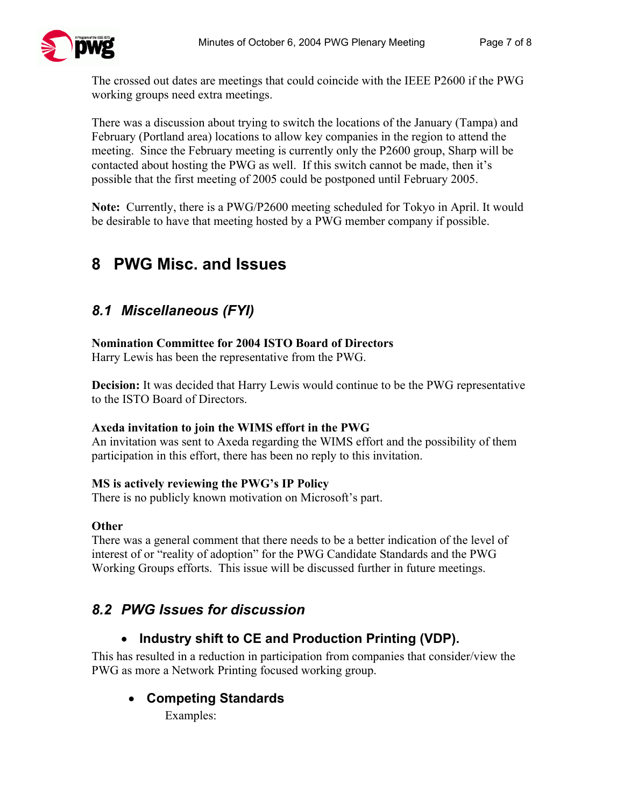The crossed out dates are meetings that could coincide with the IEEE P2600 if the PWG working groups need extra meetings.

There was a discussion about trying to switch the locations of the January (Tampa) and February (Portland area) locations to allow key companies in the region to attend the meeting. Since the February meeting is currently only the P2600 group, Sharp will be contacted about hosting the PWG as well. If this switch cannot be made, then it's possible that the first meeting of 2005 could be postponed until February 2005.

**Note:** Currently, there is a PWG/P2600 meeting scheduled for Tokyo in April. It would be desirable to have that meeting hosted by a PWG member company if possible.

# **8 PWG Misc. and Issues**

### *8.1 Miscellaneous (FYI)*

#### **Nomination Committee for 2004 ISTO Board of Directors**

Harry Lewis has been the representative from the PWG.

**Decision:** It was decided that Harry Lewis would continue to be the PWG representative to the ISTO Board of Directors.

#### **Axeda invitation to join the WIMS effort in the PWG**

An invitation was sent to Axeda regarding the WIMS effort and the possibility of them participation in this effort, there has been no reply to this invitation.

#### **MS is actively reviewing the PWG's IP Policy**

There is no publicly known motivation on Microsoft's part.

#### **Other**

There was a general comment that there needs to be a better indication of the level of interest of or "reality of adoption" for the PWG Candidate Standards and the PWG Working Groups efforts. This issue will be discussed further in future meetings.

### *8.2 PWG Issues for discussion*

### • **Industry shift to CE and Production Printing (VDP).**

This has resulted in a reduction in participation from companies that consider/view the PWG as more a Network Printing focused working group.

### • **Competing Standards**

Examples: